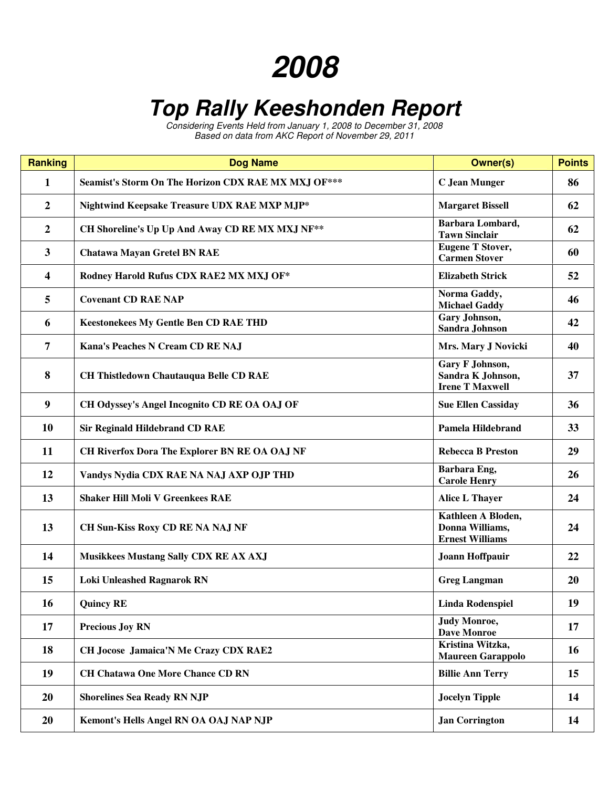## 

## **Top Rally Keeshonden Report**

Considering Events Held from January 1, 2008 to December 31, 2008 Based on data from AKC Report of November 29, 2011

| <b>Ranking</b>          | <b>Dog Name</b>                                     | <b>Owner(s)</b>                                                 | <b>Points</b> |
|-------------------------|-----------------------------------------------------|-----------------------------------------------------------------|---------------|
| 1                       | Seamist's Storm On The Horizon CDX RAE MX MXJ OF*** | <b>C</b> Jean Munger                                            | 86            |
| $\boldsymbol{2}$        | Nightwind Keepsake Treasure UDX RAE MXP MJP*        | <b>Margaret Bissell</b>                                         | 62            |
| $\boldsymbol{2}$        | CH Shoreline's Up Up And Away CD RE MX MXJ NF**     | Barbara Lombard,<br><b>Tawn Sinclair</b>                        | 62            |
| $\mathbf{3}$            | <b>Chatawa Mayan Gretel BN RAE</b>                  | <b>Eugene T Stover,</b><br><b>Carmen Stover</b>                 | 60            |
| $\overline{\mathbf{4}}$ | Rodney Harold Rufus CDX RAE2 MX MXJ OF*             | <b>Elizabeth Strick</b>                                         | 52            |
| 5                       | <b>Covenant CD RAE NAP</b>                          | Norma Gaddy,<br><b>Michael Gaddy</b>                            | 46            |
| 6                       | <b>Keestonekees My Gentle Ben CD RAE THD</b>        | Gary Johnson,<br>Sandra Johnson                                 | 42            |
| $\overline{7}$          | Kana's Peaches N Cream CD RE NAJ                    | Mrs. Mary J Novicki                                             | 40            |
| 8                       | <b>CH Thistledown Chautauqua Belle CD RAE</b>       | Gary F Johnson,<br>Sandra K Johnson,<br><b>Irene T Maxwell</b>  | 37            |
| $\boldsymbol{9}$        | CH Odyssey's Angel Incognito CD RE OA OAJ OF        | <b>Sue Ellen Cassiday</b>                                       | 36            |
| 10                      | <b>Sir Reginald Hildebrand CD RAE</b>               | <b>Pamela Hildebrand</b>                                        | 33            |
| 11                      | CH Riverfox Dora The Explorer BN RE OA OAJ NF       | <b>Rebecca B Preston</b>                                        | 29            |
| 12                      | Vandys Nydia CDX RAE NA NAJ AXP OJP THD             | Barbara Eng,<br><b>Carole Henry</b>                             | 26            |
| 13                      | <b>Shaker Hill Moli V Greenkees RAE</b>             | Alice L Thayer                                                  | 24            |
| 13                      | <b>CH Sun-Kiss Roxy CD RE NA NAJ NF</b>             | Kathleen A Bloden,<br>Donna Williams,<br><b>Ernest Williams</b> | 24            |
| 14                      | <b>Musikkees Mustang Sally CDX RE AX AXJ</b>        | Joann Hoffpauir                                                 | 22            |
| 15                      | <b>Loki Unleashed Ragnarok RN</b>                   | <b>Greg Langman</b>                                             | 20            |
| 16                      | <b>Quincy RE</b>                                    | <b>Linda Rodenspiel</b>                                         | 19            |
| 17                      | <b>Precious Joy RN</b>                              | <b>Judy Monroe,</b><br><b>Dave Monroe</b>                       | 17            |
| 18                      | CH Jocose Jamaica'N Me Crazy CDX RAE2               | Kristina Witzka,<br><b>Maureen Garappolo</b>                    | <b>16</b>     |
| 19                      | <b>CH Chatawa One More Chance CD RN</b>             | <b>Billie Ann Terry</b>                                         | 15            |
| 20                      | <b>Shorelines Sea Ready RN NJP</b>                  | <b>Jocelyn Tipple</b>                                           | 14            |
| 20                      | Kemont's Hells Angel RN OA OAJ NAP NJP              | <b>Jan Corrington</b>                                           | 14            |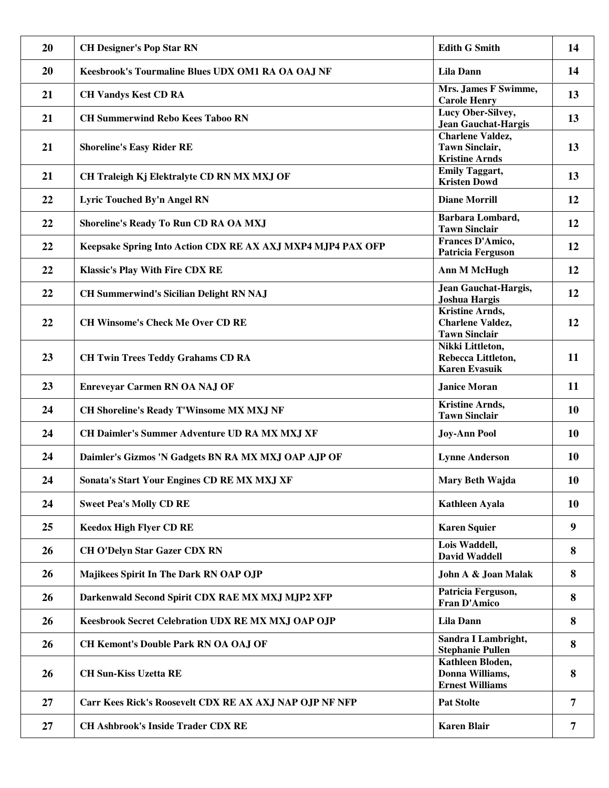| 20 | <b>CH Designer's Pop Star RN</b>                            | <b>Edith G Smith</b>                                                      | 14        |
|----|-------------------------------------------------------------|---------------------------------------------------------------------------|-----------|
| 20 | Keesbrook's Tourmaline Blues UDX OM1 RA OA OAJ NF           | <b>Lila Dann</b>                                                          | 14        |
| 21 | <b>CH Vandys Kest CD RA</b>                                 | Mrs. James F Swimme,<br><b>Carole Henry</b>                               | 13        |
| 21 | <b>CH Summerwind Rebo Kees Taboo RN</b>                     | Lucy Ober-Silvey,<br><b>Jean Gauchat-Hargis</b>                           | 13        |
| 21 | <b>Shoreline's Easy Rider RE</b>                            | <b>Charlene Valdez,</b><br><b>Tawn Sinclair,</b><br><b>Kristine Arnds</b> | 13        |
| 21 | CH Traleigh Kj Elektralyte CD RN MX MXJ OF                  | <b>Emily Taggart,</b><br><b>Kristen Dowd</b>                              | 13        |
| 22 | Lyric Touched By'n Angel RN                                 | <b>Diane Morrill</b>                                                      | 12        |
| 22 | Shoreline's Ready To Run CD RA OA MXJ                       | Barbara Lombard,<br><b>Tawn Sinclair</b>                                  | 12        |
| 22 | Keepsake Spring Into Action CDX RE AX AXJ MXP4 MJP4 PAX OFP | Frances D'Amico,<br><b>Patricia Ferguson</b>                              | 12        |
| 22 | <b>Klassic's Play With Fire CDX RE</b>                      | <b>Ann M McHugh</b>                                                       | 12        |
| 22 | <b>CH Summerwind's Sicilian Delight RN NAJ</b>              | <b>Jean Gauchat-Hargis,</b><br><b>Joshua Hargis</b>                       | 12        |
| 22 | <b>CH Winsome's Check Me Over CD RE</b>                     | Kristine Arnds,<br><b>Charlene Valdez,</b><br><b>Tawn Sinclair</b>        | 12        |
| 23 | <b>CH Twin Trees Teddy Grahams CD RA</b>                    | Nikki Littleton,<br>Rebecca Littleton,<br><b>Karen Evasuik</b>            | 11        |
| 23 | <b>Enreveyar Carmen RN OA NAJ OF</b>                        | <b>Janice Moran</b>                                                       | 11        |
| 24 | CH Shoreline's Ready T'Winsome MX MXJ NF                    | <b>Kristine Arnds,</b><br><b>Tawn Sinclair</b>                            | <b>10</b> |
| 24 | CH Daimler's Summer Adventure UD RA MX MXJ XF               | <b>Joy-Ann Pool</b>                                                       | <b>10</b> |
| 24 | Daimler's Gizmos 'N Gadgets BN RA MX MXJ OAP AJP OF         | <b>Lynne Anderson</b>                                                     | <b>10</b> |
| 24 | Sonata's Start Your Engines CD RE MX MXJ XF                 | Mary Beth Wajda                                                           | 10        |
| 24 | <b>Sweet Pea's Molly CD RE</b>                              | <b>Kathleen Ayala</b>                                                     | 10        |
| 25 | <b>Keedox High Flyer CD RE</b>                              | <b>Karen Squier</b>                                                       | 9         |
| 26 | <b>CH O'Delyn Star Gazer CDX RN</b>                         | Lois Waddell,<br><b>David Waddell</b>                                     | 8         |
| 26 | Majikees Spirit In The Dark RN OAP OJP                      | John A & Joan Malak                                                       | 8         |
| 26 | Darkenwald Second Spirit CDX RAE MX MXJ MJP2 XFP            | Patricia Ferguson,<br>Fran D'Amico                                        | 8         |
| 26 | Keesbrook Secret Celebration UDX RE MX MXJ OAP OJP          | <b>Lila Dann</b>                                                          | 8         |
| 26 | <b>CH Kemont's Double Park RN OA OAJ OF</b>                 | Sandra I Lambright,<br><b>Stephanie Pullen</b>                            | 8         |
| 26 | <b>CH Sun-Kiss Uzetta RE</b>                                | Kathleen Bloden,<br>Donna Williams,<br><b>Ernest Williams</b>             | 8         |
| 27 | Carr Kees Rick's Roosevelt CDX RE AX AXJ NAP OJP NF NFP     | <b>Pat Stolte</b>                                                         | 7         |
| 27 | <b>CH Ashbrook's Inside Trader CDX RE</b>                   | <b>Karen Blair</b>                                                        | 7         |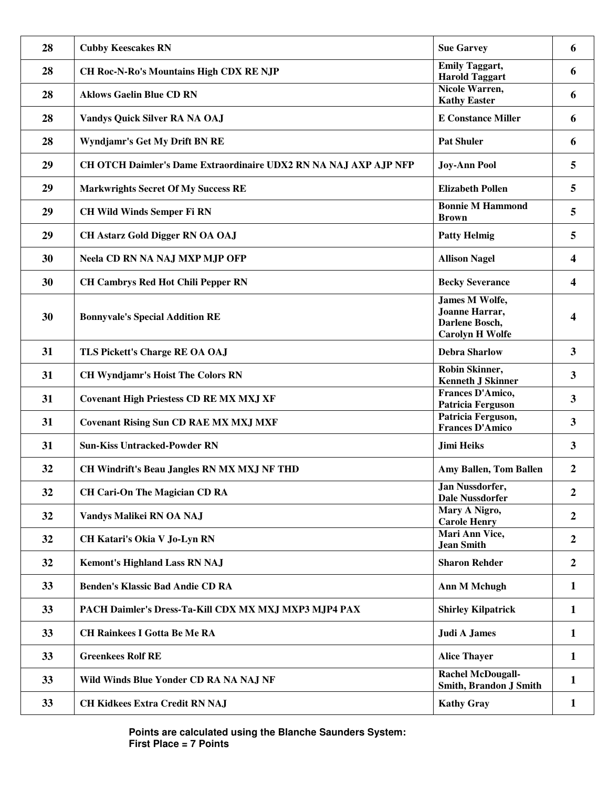| 28 | <b>Cubby Keescakes RN</b>                                        | <b>Sue Garvey</b>                                                            | 6                |
|----|------------------------------------------------------------------|------------------------------------------------------------------------------|------------------|
| 28 | CH Roc-N-Ro's Mountains High CDX RE NJP                          | <b>Emily Taggart,</b><br><b>Harold Taggart</b>                               | 6                |
| 28 | <b>Aklows Gaelin Blue CD RN</b>                                  | Nicole Warren,<br><b>Kathy Easter</b>                                        | 6                |
| 28 | Vandys Quick Silver RA NA OAJ                                    | <b>E Constance Miller</b>                                                    | 6                |
| 28 | Wyndjamr's Get My Drift BN RE                                    | <b>Pat Shuler</b>                                                            | 6                |
| 29 | CH OTCH Daimler's Dame Extraordinaire UDX2 RN NA NAJ AXP AJP NFP | <b>Joy-Ann Pool</b>                                                          | 5                |
| 29 | <b>Markwrights Secret Of My Success RE</b>                       | <b>Elizabeth Pollen</b>                                                      | 5                |
| 29 | <b>CH Wild Winds Semper Fi RN</b>                                | <b>Bonnie M Hammond</b><br><b>Brown</b>                                      | 5                |
| 29 | <b>CH Astarz Gold Digger RN OA OAJ</b>                           | <b>Patty Helmig</b>                                                          | 5                |
| 30 | <b>Neela CD RN NA NAJ MXP MJP OFP</b>                            | <b>Allison Nagel</b>                                                         | 4                |
| 30 | <b>CH Cambrys Red Hot Chili Pepper RN</b>                        | <b>Becky Severance</b>                                                       | 4                |
| 30 | <b>Bonnyvale's Special Addition RE</b>                           | James M Wolfe,<br>Joanne Harrar,<br>Darlene Bosch,<br><b>Carolyn H Wolfe</b> | 4                |
| 31 | TLS Pickett's Charge RE OA OAJ                                   | <b>Debra Sharlow</b>                                                         | 3                |
| 31 | <b>CH Wyndjamr's Hoist The Colors RN</b>                         | Robin Skinner,<br><b>Kenneth J Skinner</b>                                   | 3                |
| 31 | <b>Covenant High Priestess CD RE MX MXJ XF</b>                   | Frances D'Amico,<br><b>Patricia Ferguson</b>                                 | 3                |
| 31 | <b>Covenant Rising Sun CD RAE MX MXJ MXF</b>                     | Patricia Ferguson,<br><b>Frances D'Amico</b>                                 | 3                |
| 31 | <b>Sun-Kiss Untracked-Powder RN</b>                              | <b>Jimi Heiks</b>                                                            | 3                |
| 32 | CH Windrift's Beau Jangles RN MX MXJ NF THD                      | Amy Ballen, Tom Ballen                                                       | 2                |
| 32 | <b>CH Cari-On The Magician CD RA</b>                             | Jan Nussdorfer,<br><b>Dale Nussdorfer</b>                                    | $\boldsymbol{2}$ |
| 32 | Vandys Malikei RN OA NAJ                                         | Mary A Nigro,<br><b>Carole Henry</b>                                         | $\boldsymbol{2}$ |
| 32 | CH Katari's Okia V Jo-Lyn RN                                     | Mari Ann Vice,<br><b>Jean Smith</b>                                          | $\overline{2}$   |
| 32 | <b>Kemont's Highland Lass RN NAJ</b>                             | <b>Sharon Rehder</b>                                                         | $\overline{2}$   |
| 33 | <b>Benden's Klassic Bad Andie CD RA</b>                          | <b>Ann M Mchugh</b>                                                          | $\mathbf{1}$     |
| 33 | PACH Daimler's Dress-Ta-Kill CDX MX MXJ MXP3 MJP4 PAX            | <b>Shirley Kilpatrick</b>                                                    | $\mathbf{1}$     |
| 33 | <b>CH Rainkees I Gotta Be Me RA</b>                              | <b>Judi A James</b>                                                          | 1                |
| 33 | <b>Greenkees Rolf RE</b>                                         | <b>Alice Thayer</b>                                                          | 1                |
| 33 | Wild Winds Blue Yonder CD RA NA NAJ NF                           | <b>Rachel McDougall-</b><br>Smith, Brandon J Smith                           | 1                |
| 33 | <b>CH Kidkees Extra Credit RN NAJ</b>                            | <b>Kathy Gray</b>                                                            | $\mathbf{1}$     |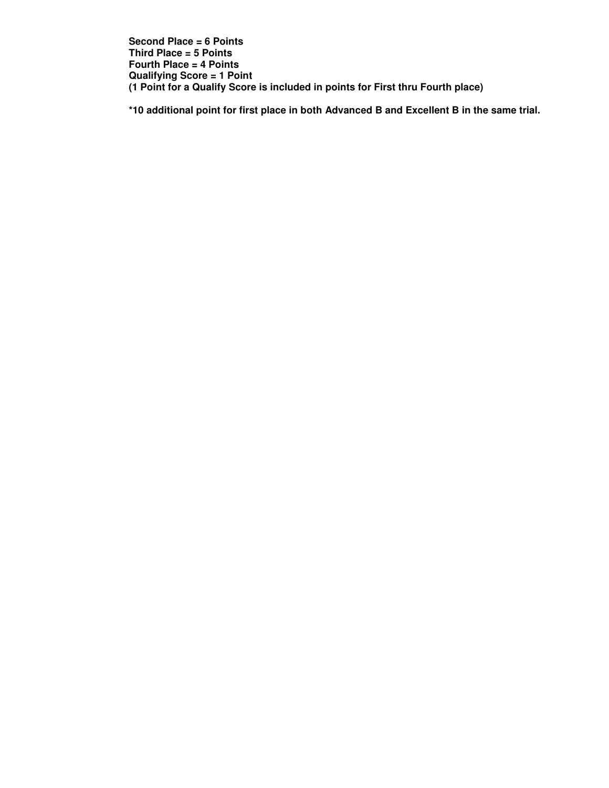**Second Place = 6 Points Third Place = 5 Points Fourth Place = 4 Points Qualifying Score = 1 Point (1 Point for a Qualify Score is included in points for First thru Fourth place)** 

**\*10 additional point for first place in both Advanced B and Excellent B in the same trial.**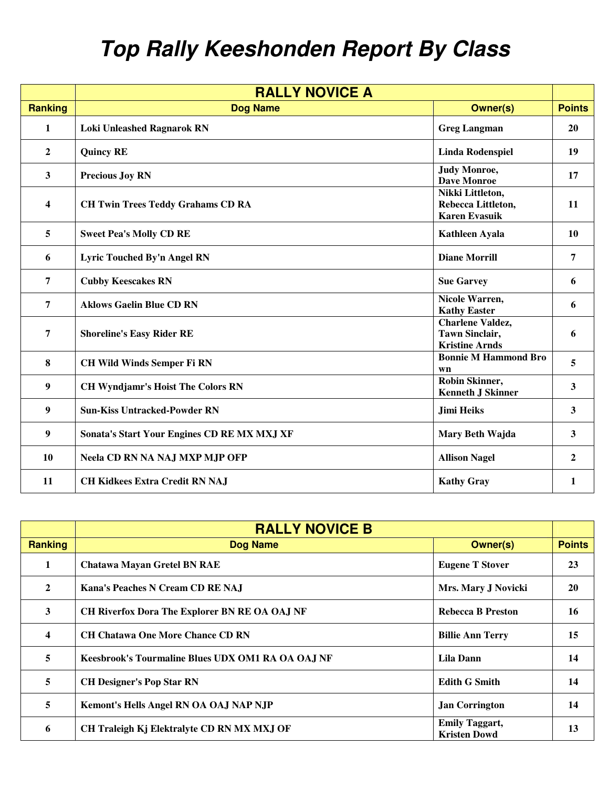## **Top Rally Keeshonden Report By Class**

| <b>RALLY NOVICE A</b>   |                                             |                                                                           |               |
|-------------------------|---------------------------------------------|---------------------------------------------------------------------------|---------------|
| <b>Ranking</b>          | <b>Dog Name</b>                             | <b>Owner(s)</b>                                                           | <b>Points</b> |
| $\mathbf{1}$            | <b>Loki Unleashed Ragnarok RN</b>           | <b>Greg Langman</b>                                                       | 20            |
| $\mathbf{2}$            | <b>Quincy RE</b>                            | <b>Linda Rodenspiel</b>                                                   | 19            |
| 3                       | <b>Precious Joy RN</b>                      | <b>Judy Monroe,</b><br><b>Dave Monroe</b>                                 | 17            |
| $\overline{\mathbf{4}}$ | <b>CH Twin Trees Teddy Grahams CD RA</b>    | Nikki Littleton,<br>Rebecca Littleton,<br><b>Karen Evasuik</b>            | <b>11</b>     |
| 5                       | <b>Sweet Pea's Molly CD RE</b>              | Kathleen Ayala                                                            | 10            |
| 6                       | Lyric Touched By'n Angel RN                 | <b>Diane Morrill</b>                                                      | 7             |
| $\overline{7}$          | <b>Cubby Keescakes RN</b>                   | <b>Sue Garvey</b>                                                         | 6             |
| $\overline{7}$          | <b>Aklows Gaelin Blue CD RN</b>             | Nicole Warren,<br><b>Kathy Easter</b>                                     | 6             |
| 7                       | <b>Shoreline's Easy Rider RE</b>            | <b>Charlene Valdez,</b><br><b>Tawn Sinclair,</b><br><b>Kristine Arnds</b> | 6             |
| 8                       | <b>CH Wild Winds Semper Fi RN</b>           | <b>Bonnie M Hammond Bro</b><br>wn                                         | 5             |
| 9                       | <b>CH Wyndjamr's Hoist The Colors RN</b>    | Robin Skinner,<br><b>Kenneth J Skinner</b>                                | 3             |
| 9                       | <b>Sun-Kiss Untracked-Powder RN</b>         | <b>Jimi Heiks</b>                                                         | 3             |
| $\boldsymbol{9}$        | Sonata's Start Your Engines CD RE MX MXJ XF | Mary Beth Wajda                                                           | 3             |
| 10                      | <b>Neela CD RN NA NAJ MXP MJP OFP</b>       | <b>Allison Nagel</b>                                                      | $\mathbf{2}$  |
| 11                      | <b>CH Kidkees Extra Credit RN NAJ</b>       | <b>Kathy Gray</b>                                                         | 1             |

|                         | <b>RALLY NOVICE B</b>                             |                                              |               |
|-------------------------|---------------------------------------------------|----------------------------------------------|---------------|
| <b>Ranking</b>          | <b>Dog Name</b>                                   | <b>Owner(s)</b>                              | <b>Points</b> |
| 1                       | <b>Chatawa Mayan Gretel BN RAE</b>                | <b>Eugene T Stover</b>                       | 23            |
| $\mathbf{2}$            | Kana's Peaches N Cream CD RE NAJ                  | Mrs. Mary J Novicki                          | <b>20</b>     |
| 3                       | CH Riverfox Dora The Explorer BN RE OA OAJ NF     | <b>Rebecca B Preston</b>                     | 16            |
| $\overline{\mathbf{4}}$ | <b>CH Chatawa One More Chance CD RN</b>           | <b>Billie Ann Terry</b>                      | 15            |
| 5                       | Keesbrook's Tourmaline Blues UDX OM1 RA OA OAJ NF | Lila Dann                                    | 14            |
| 5                       | <b>CH Designer's Pop Star RN</b>                  | <b>Edith G Smith</b>                         | 14            |
| 5                       | Kemont's Hells Angel RN OA OAJ NAP NJP            | <b>Jan Corrington</b>                        | 14            |
| 6                       | CH Traleigh Kj Elektralyte CD RN MX MXJ OF        | <b>Emily Taggart,</b><br><b>Kristen Dowd</b> | 13            |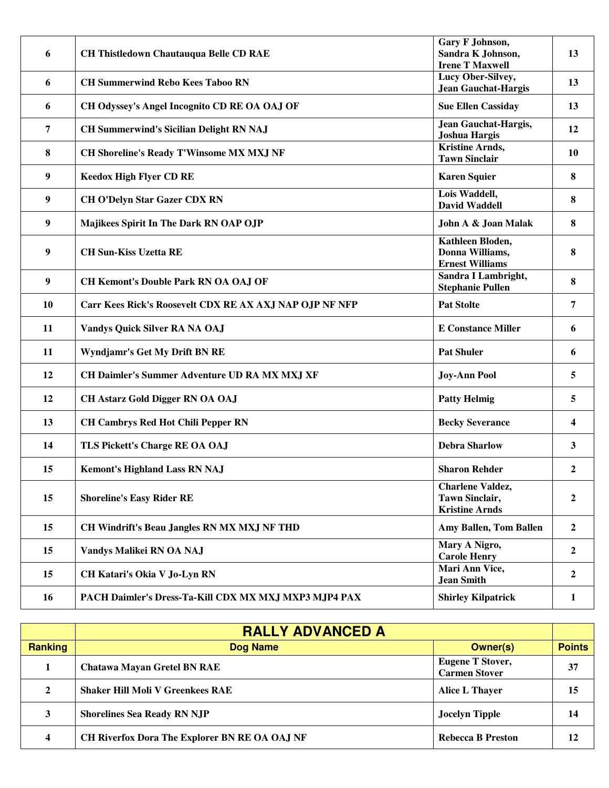| 6  | <b>CH Thistledown Chautauqua Belle CD RAE</b>           | Gary F Johnson,<br>Sandra K Johnson,<br><b>Irene T Maxwell</b>     | 13               |
|----|---------------------------------------------------------|--------------------------------------------------------------------|------------------|
| 6  | <b>CH Summerwind Rebo Kees Taboo RN</b>                 | <b>Lucy Ober-Silvey,</b><br><b>Jean Gauchat-Hargis</b>             | 13               |
| 6  | CH Odyssey's Angel Incognito CD RE OA OAJ OF            | <b>Sue Ellen Cassiday</b>                                          | 13               |
| 7  | <b>CH Summerwind's Sicilian Delight RN NAJ</b>          | Jean Gauchat-Hargis,<br><b>Joshua Hargis</b>                       | 12               |
| 8  | <b>CH Shoreline's Ready T'Winsome MX MXJ NF</b>         | <b>Kristine Arnds,</b><br><b>Tawn Sinclair</b>                     | 10               |
| 9  | <b>Keedox High Flyer CD RE</b>                          | <b>Karen Squier</b>                                                | 8                |
| 9  | <b>CH O'Delyn Star Gazer CDX RN</b>                     | Lois Waddell,<br><b>David Waddell</b>                              | 8                |
| 9  | Majikees Spirit In The Dark RN OAP OJP                  | John A & Joan Malak                                                | 8                |
| 9  | <b>CH Sun-Kiss Uzetta RE</b>                            | Kathleen Bloden,<br>Donna Williams,<br><b>Ernest Williams</b>      | 8                |
| 9  | <b>CH Kemont's Double Park RN OA OAJ OF</b>             | Sandra I Lambright,<br><b>Stephanie Pullen</b>                     | 8                |
| 10 | Carr Kees Rick's Roosevelt CDX RE AX AXJ NAP OJP NF NFP | <b>Pat Stolte</b>                                                  | 7                |
| 11 | Vandys Quick Silver RA NA OAJ                           | <b>E Constance Miller</b>                                          | 6                |
| 11 | Wyndjamr's Get My Drift BN RE                           | <b>Pat Shuler</b>                                                  | 6                |
| 12 | <b>CH Daimler's Summer Adventure UD RA MX MXJ XF</b>    | <b>Joy-Ann Pool</b>                                                | 5                |
| 12 | <b>CH Astarz Gold Digger RN OA OAJ</b>                  | <b>Patty Helmig</b>                                                | 5                |
| 13 | <b>CH Cambrys Red Hot Chili Pepper RN</b>               | <b>Becky Severance</b>                                             | 4                |
| 14 | TLS Pickett's Charge RE OA OAJ                          | <b>Debra Sharlow</b>                                               | 3                |
| 15 | <b>Kemont's Highland Lass RN NAJ</b>                    | <b>Sharon Rehder</b>                                               | 2                |
| 15 | <b>Shoreline's Easy Rider RE</b>                        | Charlene Valdez,<br><b>Tawn Sinclair,</b><br><b>Kristine Arnds</b> | $\boldsymbol{2}$ |
| 15 | <b>CH Windrift's Beau Jangles RN MX MXJ NF THD</b>      | <b>Amy Ballen, Tom Ballen</b>                                      | $\overline{2}$   |
| 15 | Vandys Malikei RN OA NAJ                                | Mary A Nigro,<br><b>Carole Henry</b>                               | $\overline{2}$   |
| 15 | CH Katari's Okia V Jo-Lyn RN                            | Mari Ann Vice,<br><b>Jean Smith</b>                                | $\overline{2}$   |
| 16 | PACH Daimler's Dress-Ta-Kill CDX MX MXJ MXP3 MJP4 PAX   | <b>Shirley Kilpatrick</b>                                          | $\mathbf{1}$     |

|                         | <b>RALLY ADVANCED A</b>                              |                                                 |               |
|-------------------------|------------------------------------------------------|-------------------------------------------------|---------------|
| <b>Ranking</b>          | <b>Dog Name</b>                                      | <b>Owner(s)</b>                                 | <b>Points</b> |
|                         | <b>Chatawa Mayan Gretel BN RAE</b>                   | <b>Eugene T Stover,</b><br><b>Carmen Stover</b> | 37            |
| 2                       | <b>Shaker Hill Moli V Greenkees RAE</b>              | <b>Alice L Thayer</b>                           | 15            |
| 3                       | <b>Shorelines Sea Ready RN NJP</b>                   | <b>Jocelyn Tipple</b>                           | 14            |
| $\overline{\mathbf{4}}$ | <b>CH Riverfox Dora The Explorer BN RE OA OAJ NF</b> | <b>Rebecca B Preston</b>                        | 12            |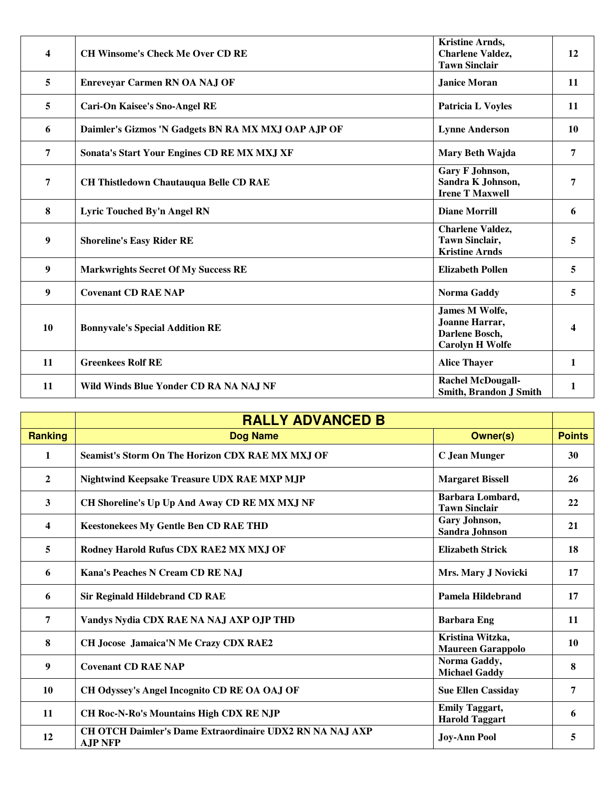| $\overline{\mathbf{4}}$ | <b>CH Winsome's Check Me Over CD RE</b>             | <b>Kristine Arnds,</b><br><b>Charlene Valdez,</b><br><b>Tawn Sinclair</b>           | 12        |
|-------------------------|-----------------------------------------------------|-------------------------------------------------------------------------------------|-----------|
| 5                       | <b>Enreveyar Carmen RN OA NAJ OF</b>                | <b>Janice Moran</b>                                                                 | 11        |
| 5                       | <b>Cari-On Kaisee's Sno-Angel RE</b>                | <b>Patricia L Voyles</b>                                                            | 11        |
| 6                       | Daimler's Gizmos 'N Gadgets BN RA MX MXJ OAP AJP OF | <b>Lynne Anderson</b>                                                               | <b>10</b> |
| $\overline{7}$          | Sonata's Start Your Engines CD RE MX MXJ XF         | Mary Beth Wajda                                                                     | 7         |
| $\overline{7}$          | <b>CH Thistledown Chautauqua Belle CD RAE</b>       | Gary F Johnson,<br>Sandra K Johnson,<br><b>Irene T Maxwell</b>                      | 7         |
| 8                       | Lyric Touched By'n Angel RN                         | <b>Diane Morrill</b>                                                                | 6         |
| $\boldsymbol{9}$        | <b>Shoreline's Easy Rider RE</b>                    | <b>Charlene Valdez,</b><br><b>Tawn Sinclair,</b><br><b>Kristine Arnds</b>           | 5         |
| $\boldsymbol{9}$        | <b>Markwrights Secret Of My Success RE</b>          | <b>Elizabeth Pollen</b>                                                             | 5         |
| $\boldsymbol{9}$        | <b>Covenant CD RAE NAP</b>                          | Norma Gaddy                                                                         | 5         |
| 10                      | <b>Bonnyvale's Special Addition RE</b>              | <b>James M Wolfe,</b><br>Joanne Harrar,<br>Darlene Bosch,<br><b>Carolyn H Wolfe</b> |           |
| 11                      | <b>Greenkees Rolf RE</b>                            | <b>Alice Thayer</b>                                                                 | 1         |
| 11                      | Wild Winds Blue Yonder CD RA NA NAJ NF              | <b>Rachel McDougall-</b><br>Smith, Brandon J Smith                                  | 1         |

|                | <b>RALLY ADVANCED B</b>                                                    |                                                |               |
|----------------|----------------------------------------------------------------------------|------------------------------------------------|---------------|
| <b>Ranking</b> | <b>Dog Name</b>                                                            | <b>Owner(s)</b>                                | <b>Points</b> |
| 1              | Seamist's Storm On The Horizon CDX RAE MX MXJ OF                           | <b>C</b> Jean Munger                           | 30            |
| $\overline{2}$ | Nightwind Keepsake Treasure UDX RAE MXP MJP                                | <b>Margaret Bissell</b>                        | 26            |
| $\mathbf{3}$   | CH Shoreline's Up Up And Away CD RE MX MXJ NF                              | Barbara Lombard,<br><b>Tawn Sinclair</b>       | 22            |
| 4              | <b>Keestonekees My Gentle Ben CD RAE THD</b>                               | Gary Johnson,<br>Sandra Johnson                | 21            |
| 5              | Rodney Harold Rufus CDX RAE2 MX MXJ OF                                     | <b>Elizabeth Strick</b>                        | 18            |
| 6              | Kana's Peaches N Cream CD RE NAJ                                           | Mrs. Mary J Novicki                            | 17            |
| 6              | <b>Sir Reginald Hildebrand CD RAE</b>                                      | Pamela Hildebrand                              | 17            |
| $\overline{7}$ | Vandys Nydia CDX RAE NA NAJ AXP OJP THD                                    | <b>Barbara Eng</b>                             | 11            |
| 8              | <b>CH Jocose Jamaica'N Me Crazy CDX RAE2</b>                               | Kristina Witzka,<br><b>Maureen Garappolo</b>   | <b>10</b>     |
| 9              | <b>Covenant CD RAE NAP</b>                                                 | Norma Gaddy,<br><b>Michael Gaddy</b>           | 8             |
| 10             | CH Odyssey's Angel Incognito CD RE OA OAJ OF                               | <b>Sue Ellen Cassiday</b>                      | 7             |
| 11             | <b>CH Roc-N-Ro's Mountains High CDX RE NJP</b>                             | <b>Emily Taggart,</b><br><b>Harold Taggart</b> | 6             |
| 12             | CH OTCH Daimler's Dame Extraordinaire UDX2 RN NA NAJ AXP<br><b>AJP NFP</b> | <b>Joy-Ann Pool</b>                            | 5             |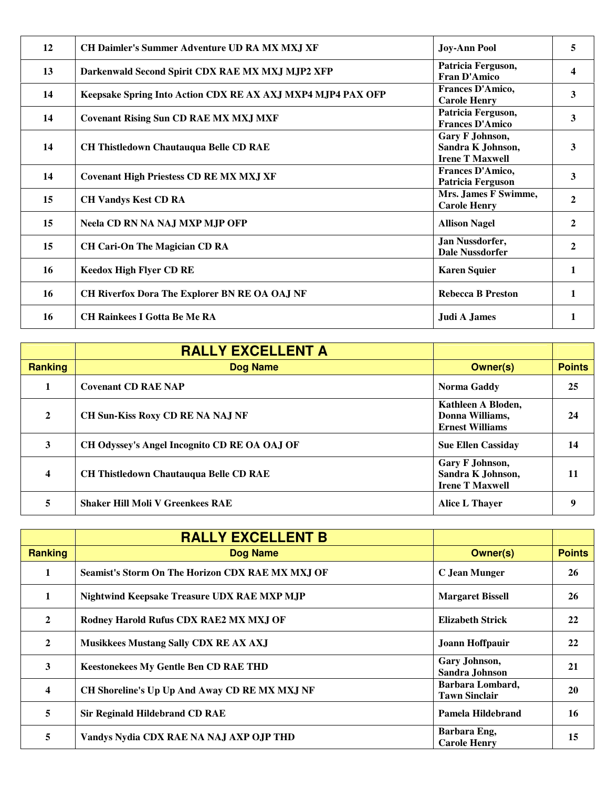| 12 | CH Daimler's Summer Adventure UD RA MX MXJ XF               | <b>Joy-Ann Pool</b>                                            | 5            |
|----|-------------------------------------------------------------|----------------------------------------------------------------|--------------|
| 13 | Darkenwald Second Spirit CDX RAE MX MXJ MJP2 XFP            | Patricia Ferguson,<br><b>Fran D'Amico</b>                      |              |
| 14 | Keepsake Spring Into Action CDX RE AX AXJ MXP4 MJP4 PAX OFP | Frances D'Amico,<br><b>Carole Henry</b>                        | 3            |
| 14 | <b>Covenant Rising Sun CD RAE MX MXJ MXF</b>                | Patricia Ferguson,<br><b>Frances D'Amico</b>                   | 3            |
| 14 | <b>CH Thistledown Chautauqua Belle CD RAE</b>               | Gary F Johnson,<br>Sandra K Johnson,<br><b>Irene T Maxwell</b> | 3            |
| 14 | <b>Covenant High Priestess CD RE MX MXJ XF</b>              | Frances D'Amico,<br><b>Patricia Ferguson</b>                   | 3            |
| 15 | <b>CH Vandys Kest CD RA</b>                                 | Mrs. James F Swimme,<br><b>Carole Henry</b>                    | 2            |
| 15 | <b>Neela CD RN NA NAJ MXP MJP OFP</b>                       | <b>Allison Nagel</b>                                           | 2            |
| 15 | <b>CH Cari-On The Magician CD RA</b>                        | Jan Nussdorfer,<br><b>Dale Nussdorfer</b>                      | $\mathbf{2}$ |
| 16 | <b>Keedox High Flyer CD RE</b>                              | <b>Karen Squier</b>                                            | 1            |
| 16 | CH Riverfox Dora The Explorer BN RE OA OAJ NF               | <b>Rebecca B Preston</b>                                       | 1            |
| 16 | <b>CH Rainkees I Gotta Be Me RA</b>                         | <b>Judi A James</b>                                            |              |

|                         | <b>RALLY EXCELLENT A</b>                      |                                                                 |               |
|-------------------------|-----------------------------------------------|-----------------------------------------------------------------|---------------|
| <b>Ranking</b>          | Dog Name                                      | <b>Owner(s)</b>                                                 | <b>Points</b> |
|                         | <b>Covenant CD RAE NAP</b>                    | Norma Gaddy                                                     | 25            |
| $\overline{2}$          | <b>CH Sun-Kiss Roxy CD RE NA NAJ NF</b>       | Kathleen A Bloden,<br>Donna Williams,<br><b>Ernest Williams</b> | 24            |
| 3                       | CH Odyssey's Angel Incognito CD RE OA OAJ OF  | <b>Sue Ellen Cassiday</b>                                       | 14            |
| $\overline{\mathbf{4}}$ | <b>CH Thistledown Chautauqua Belle CD RAE</b> | Gary F Johnson,<br>Sandra K Johnson,<br><b>Irene T Maxwell</b>  | 11            |
| 5                       | <b>Shaker Hill Moli V Greenkees RAE</b>       | Alice L Thayer                                                  |               |

|                         | <b>RALLY EXCELLENT B</b>                         |                                          |               |
|-------------------------|--------------------------------------------------|------------------------------------------|---------------|
| Ranking                 | <b>Dog Name</b>                                  | <b>Owner(s)</b>                          | <b>Points</b> |
| 1                       | Seamist's Storm On The Horizon CDX RAE MX MXJ OF | C Jean Munger                            | 26            |
| $\mathbf{1}$            | Nightwind Keepsake Treasure UDX RAE MXP MJP      | <b>Margaret Bissell</b>                  | 26            |
| $\mathbf{2}$            | Rodney Harold Rufus CDX RAE2 MX MXJ OF           | <b>Elizabeth Strick</b>                  | 22            |
| $\mathbf{2}$            | <b>Musikkees Mustang Sally CDX RE AX AXJ</b>     | Joann Hoffpauir                          | 22            |
| 3                       | <b>Keestonekees My Gentle Ben CD RAE THD</b>     | Gary Johnson,<br>Sandra Johnson          | 21            |
| $\overline{\mathbf{4}}$ | CH Shoreline's Up Up And Away CD RE MX MXJ NF    | Barbara Lombard,<br><b>Tawn Sinclair</b> | 20            |
| 5                       | <b>Sir Reginald Hildebrand CD RAE</b>            | Pamela Hildebrand                        | 16            |
| 5                       | Vandys Nydia CDX RAE NA NAJ AXP OJP THD          | Barbara Eng,<br><b>Carole Henry</b>      | 15            |